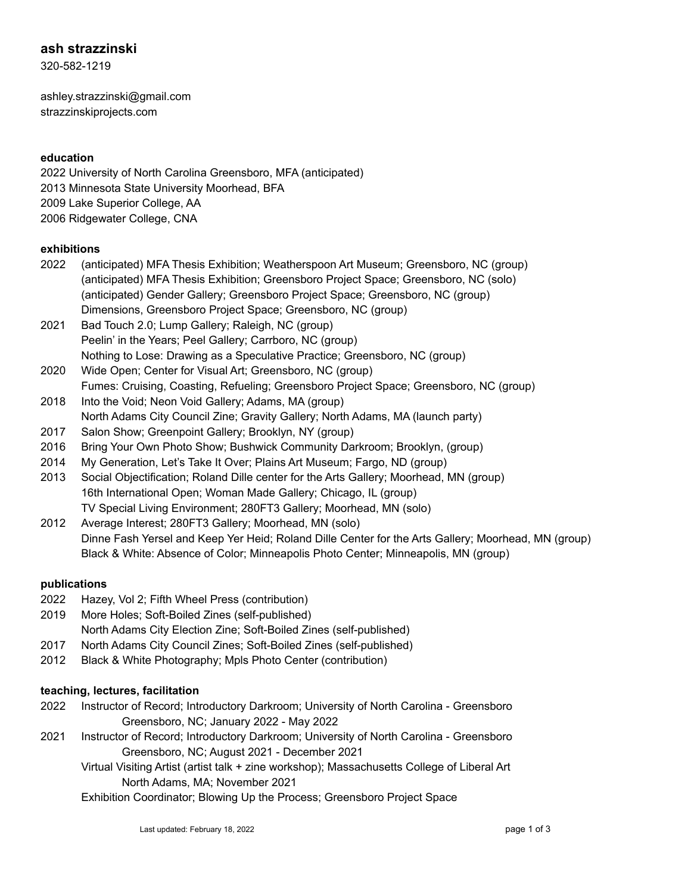# **ash strazzinski**

320-582-1219

ashley.strazzinski@gmail.com strazzinskiprojects.com

### **education**

 University of North Carolina Greensboro, MFA (anticipated) Minnesota State University Moorhead, BFA Lake Superior College, AA Ridgewater College, CNA

### **exhibitions**

- 2022 (anticipated) MFA Thesis Exhibition; Weatherspoon Art Museum; Greensboro, NC (group) (anticipated) MFA Thesis Exhibition; Greensboro Project Space; Greensboro, NC (solo) (anticipated) Gender Gallery; Greensboro Project Space; Greensboro, NC (group) Dimensions, Greensboro Project Space; Greensboro, NC (group)
- 2021 Bad Touch 2.0; Lump Gallery; Raleigh, NC (group) Peelin' in the Years; Peel Gallery; Carrboro, NC (group) Nothing to Lose: Drawing as a Speculative Practice; Greensboro, NC (group)
- 2020 Wide Open; Center for Visual Art; Greensboro, NC (group) Fumes: Cruising, Coasting, Refueling; Greensboro Project Space; Greensboro, NC (group)
- 2018 Into the Void; Neon Void Gallery; Adams, MA (group) North Adams City Council Zine; Gravity Gallery; North Adams, MA (launch party)
- 2017 Salon Show; Greenpoint Gallery; Brooklyn, NY (group)
- 2016 Bring Your Own Photo Show; Bushwick Community Darkroom; Brooklyn, (group)
- 2014 My Generation, Let's Take It Over; Plains Art Museum; Fargo, ND (group)
- 2013 Social Objectification; Roland Dille center for the Arts Gallery; Moorhead, MN (group) 16th International Open; Woman Made Gallery; Chicago, IL (group) TV Special Living Environment; 280FT3 Gallery; Moorhead, MN (solo)
- 2012 Average Interest; 280FT3 Gallery; Moorhead, MN (solo) Dinne Fash Yersel and Keep Yer Heid; Roland Dille Center for the Arts Gallery; Moorhead, MN (group) Black & White: Absence of Color; Minneapolis Photo Center; Minneapolis, MN (group)

#### **publications**

- 2022 Hazey, Vol 2; Fifth Wheel Press (contribution)
- 2019 More Holes; Soft-Boiled Zines (self-published)
- North Adams City Election Zine; Soft-Boiled Zines (self-published)
- 2017 North Adams City Council Zines; Soft-Boiled Zines (self-published)
- 2012 Black & White Photography; Mpls Photo Center (contribution)

#### **teaching, lectures, facilitation**

- 2022 Instructor of Record; Introductory Darkroom; University of North Carolina Greensboro Greensboro, NC; January 2022 - May 2022
- 2021 Instructor of Record; Introductory Darkroom; University of North Carolina Greensboro Greensboro, NC; August 2021 - December 2021
	- Virtual Visiting Artist (artist talk + zine workshop); Massachusetts College of Liberal Art North Adams, MA; November 2021

Exhibition Coordinator; Blowing Up the Process; Greensboro Project Space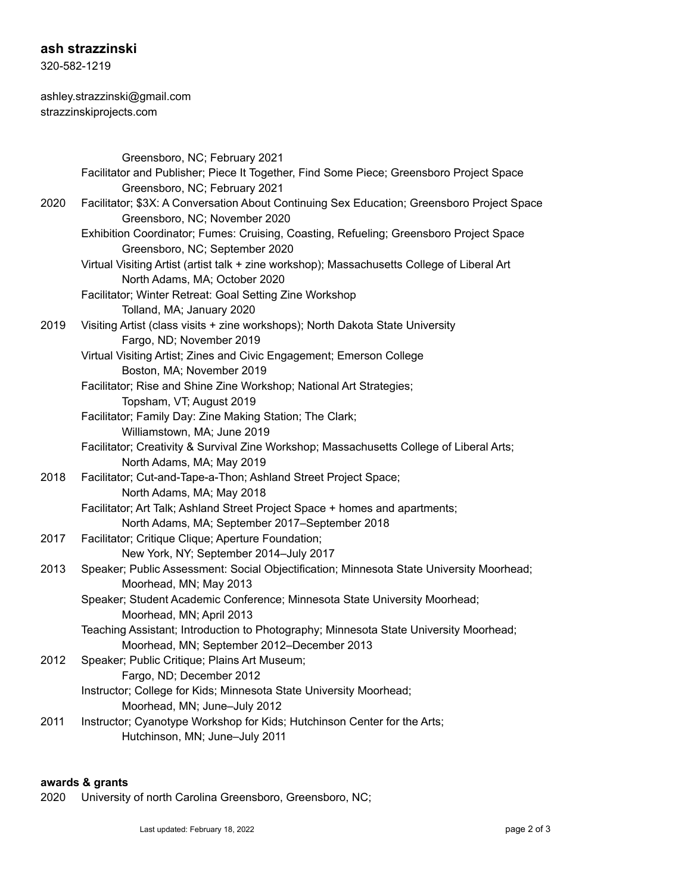## **ash strazzinski**

320-582-1219

ashley.strazzinski@gmail.com strazzinskiprojects.com

|      | Greensboro, NC; February 2021                                                                                                       |
|------|-------------------------------------------------------------------------------------------------------------------------------------|
|      | Facilitator and Publisher; Piece It Together, Find Some Piece; Greensboro Project Space<br>Greensboro, NC; February 2021            |
| 2020 | Facilitator; \$3X: A Conversation About Continuing Sex Education; Greensboro Project Space<br>Greensboro, NC; November 2020         |
|      | Exhibition Coordinator; Fumes: Cruising, Coasting, Refueling; Greensboro Project Space<br>Greensboro, NC; September 2020            |
|      | Virtual Visiting Artist (artist talk + zine workshop); Massachusetts College of Liberal Art<br>North Adams, MA; October 2020        |
|      | Facilitator; Winter Retreat: Goal Setting Zine Workshop                                                                             |
| 2019 | Tolland, MA; January 2020<br>Visiting Artist (class visits + zine workshops); North Dakota State University                         |
|      | Fargo, ND; November 2019<br>Virtual Visiting Artist; Zines and Civic Engagement; Emerson College                                    |
|      | Boston, MA; November 2019<br>Facilitator; Rise and Shine Zine Workshop; National Art Strategies;                                    |
|      | Topsham, VT; August 2019<br>Facilitator; Family Day: Zine Making Station; The Clark;                                                |
|      | Williamstown, MA; June 2019<br>Facilitator; Creativity & Survival Zine Workshop; Massachusetts College of Liberal Arts;             |
| 2018 | North Adams, MA; May 2019<br>Facilitator; Cut-and-Tape-a-Thon; Ashland Street Project Space;                                        |
|      | North Adams, MA; May 2018                                                                                                           |
|      | Facilitator; Art Talk; Ashland Street Project Space + homes and apartments;<br>North Adams, MA; September 2017-September 2018       |
| 2017 | Facilitator; Critique Clique; Aperture Foundation;<br>New York, NY; September 2014-July 2017                                        |
| 2013 | Speaker; Public Assessment: Social Objectification; Minnesota State University Moorhead;<br>Moorhead, MN; May 2013                  |
|      | Speaker; Student Academic Conference; Minnesota State University Moorhead;<br>Moorhead, MN; April 2013                              |
|      | Teaching Assistant; Introduction to Photography; Minnesota State University Moorhead;<br>Moorhead, MN; September 2012-December 2013 |
| 2012 | Speaker; Public Critique; Plains Art Museum;                                                                                        |
|      | Fargo, ND; December 2012                                                                                                            |
|      | Instructor; College for Kids; Minnesota State University Moorhead;<br>Moorhead, MN; June-July 2012                                  |
| 2011 | Instructor; Cyanotype Workshop for Kids; Hutchinson Center for the Arts;<br>Hutchinson, MN; June-July 2011                          |
|      |                                                                                                                                     |

### **awards & grants**

2020 University of north Carolina Greensboro, Greensboro, NC;